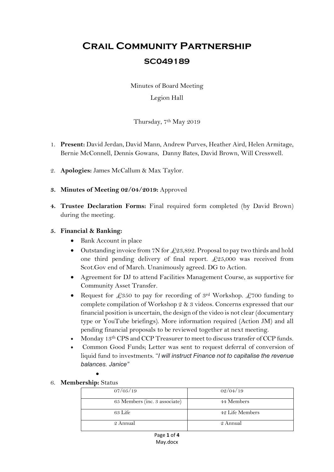# **Crail Community Partnership SC049189**

Minutes of Board Meeting

## Legion Hall

Thursday, 7<sup>th</sup> May 2019

- 1. **Present:** David Jerdan, David Mann, Andrew Purves, Heather Aird, Helen Armitage, Bernie McConnell, Dennis Gowans, Danny Bates, David Brown, Will Cresswell.
- 2. **Apologies:** James McCallum & Max Taylor.
- **3. Minutes of Meeting 02/04/2019:** Approved
- **4. Trustee Declaration Forms:** Final required form completed (by David Brown) during the meeting.

## **5. Financial & Banking:**

- Bank Account in place
- $\bullet$  Outstanding invoice from 7N for £23,892. Proposal to pay two thirds and hold one third pending delivery of final report.  $\pounds 25,000$  was received from Scot.Gov end of March. Unanimously agreed. DG to Action.
- Agreement for DJ to attend Facilities Management Course, as supportive for Community Asset Transfer.
- Request for £350 to pay for recording of 3<sup>rd</sup> Workshop. £700 funding to complete compilation of Workshop 2 & 3 videos. Concerns expressed that our financial position is uncertain, the design of the video is not clear (documentary type or YouTube briefings). More information required (Action JM) and all pending financial proposals to be reviewed together at next meeting.
- Monday 13<sup>th</sup> CPS and CCP Treasurer to meet to discuss transfer of CCP funds.
- Common Good Funds; Letter was sent to request deferral of conversion of liquid fund to investments. "*I will instruct Finance not to capitalise the revenue balances. Janice"*
- 6. **Membership:** Status

 $\bullet$ 

| 07/05/19                      | 02/04/19        |
|-------------------------------|-----------------|
| 65 Members (inc. 3 associate) | 44 Members      |
| 63 Life                       | 42 Life Members |
| 2 Annual                      | 2 Annual        |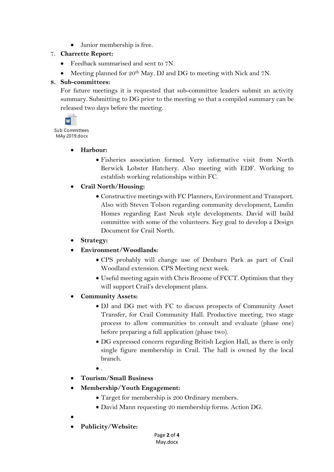Junior membership is free.

# 7. **Charrette Report:**

- Feedback summarised and sent to 7N.
- Meeting planned for 20<sup>th</sup> May. DJ and DG to meeting with Nick and 7N.

# **8. Sub-committees:**

For future meetings it is requested that sub-committee leaders submit an activity summary. Submitting to DG prior to the meeting so that a compiled summary can be released two days before the meeting.



Sub Committees MAy 2019.docx

## **Harbour:**

 Fisheries association formed. Very informative visit from North Berwick Lobster Hatchery. Also meeting with EDF. Working to establish working relationships within FC.

## **Crail North/Housing:**

 Constructive meetings with FC Planners, Environment and Transport. Also with Steven Tolson regarding community development, Lundin Homes regarding East Neuk style developments. David will build committee with some of the volunteers. Key goal to develop a Design Document for Crail North.

# **Strategy:**

- **Environment/Woodlands:**
	- CPS probably will change use of Denburn Park as part of Crail Woodland extension. CPS Meeting next week.
	- Useful meeting again with Chris Broome of FCCT. Optimism that they will support Crail's development plans.
- **Community Assets:** 
	- DJ and DG met with FC to discuss prospects of Community Asset Transfer, for Crail Community Hall. Productive meeting, two stage process to allow communities to consult and evaluate (phase one) before preparing a full application (phase two).
	- DG expressed concern regarding British Legion Hall, as there is only single figure membership in Crail. The hall is owned by the local branch.
	- $\bullet$ .
- **Tourism/Small Business**
- **Membership/Youth Engagement:** 
	- Target for membership is 200 Ordinary members.
	- David Mann requesting 20 membership forms. Action DG.
- $\bullet$
- **Publicity/Website:**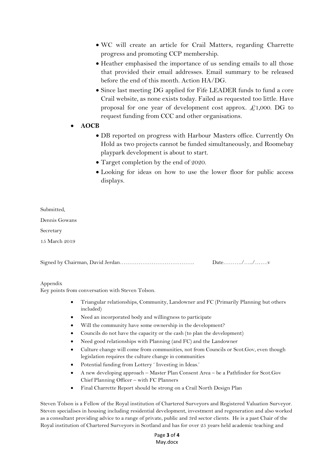- WC will create an article for Crail Matters, regarding Charrette progress and promoting CCP membership.
- Heather emphasised the importance of us sending emails to all those that provided their email addresses. Email summary to be released before the end of this month. Action HA/DG.
- Since last meeting DG applied for Fife LEADER funds to fund a core Crail website, as none exists today. Failed as requested too little. Have proposal for one year of development cost approx.  $\pounds$ 1,000. DG to request funding from CCC and other organisations.

#### **AOCB**

- DB reported on progress with Harbour Masters office. Currently On Hold as two projects cannot be funded simultaneously, and Roomebay playpark development is about to start.
- Target completion by the end of 2020.
- Looking for ideas on how to use the lower floor for public access displays.

| Submitted,    |  |
|---------------|--|
| Dennis Gowans |  |
| Secretary     |  |
| 15 March 2019 |  |
|               |  |
|               |  |

Appendix

Key points from conversation with Steven Tolson.

- Triangular relationships, Community, Landowner and FC (Primarily Planning but others included)
- Need an incorporated body and willingness to participate
- Will the community have some ownership in the development?
- Councils do not have the capacity or the cash (to plan the development)
- Need good relationships with Planning (and FC) and the Landowner
- Culture change will come from communities, not from Councils or Scot.Gov, even though legislation requires the culture change in communities
- Potential funding from Lottery ' Investing in Ideas.'
- A new developing approach Master Plan Consent Area be a Pathfinder for Scot.Gov Chief Planning Officer – with FC Planners
- Final Charrette Report should be strong on a Crail North Design Plan

Steven Tolson is a Fellow of the Royal institution of Chartered Surveyors and Registered Valuation Surveyor. Steven specialises in housing including residential development, investment and regeneration and also worked as a consultant providing advice to a range of private, public and 3rd sector clients. He is a past Chair of the Royal institution of Chartered Surveyors in Scotland and has for over 25 years held academic teaching and

> Page **3** of **4** May.docx